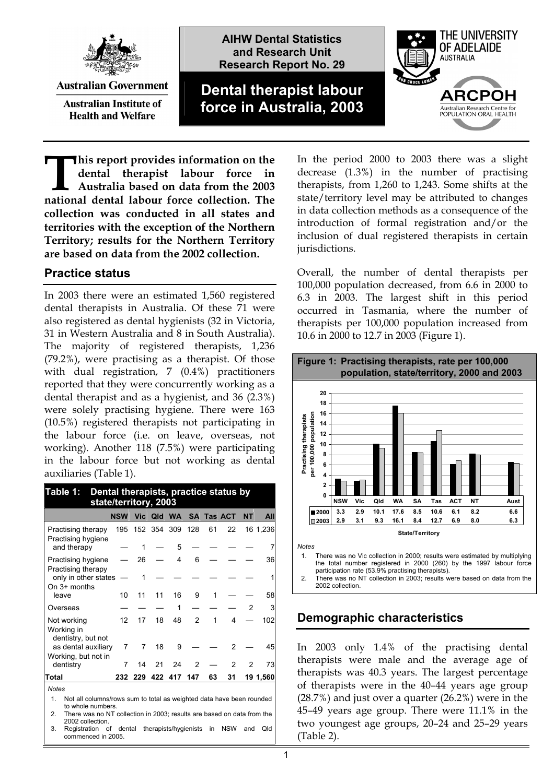

**Australian Government** 

**Australian Institute of Health and Welfare** 

**AIHW Dental Statistics and Research Unit Research Report No. 29**

**Dental therapist labour force in Australia, 2003**



**his report provides information on the dental therapist labour force in Australia based on data from the 2003 his report provides information on the dental therapist labour force in Australia based on data from the 2003 national dental labour force collection. The collection was conducted in all states and territories with the exception of the Northern Territory; results for the Northern Territory are based on data from the 2002 collection.** 

#### **Practice status**

In 2003 there were an estimated 1,560 registered dental therapists in Australia. Of these 71 were also registered as dental hygienists (32 in Victoria, 31 in Western Australia and 8 in South Australia). The majority of registered therapists, 1,236 (79.2%), were practising as a therapist. Of those with dual registration, 7 (0.4%) practitioners reported that they were concurrently working as a dental therapist and as a hygienist, and 36 (2.3%) were solely practising hygiene. There were 163 (10.5%) registered therapists not participating in the labour force (i.e. on leave, overseas, not working). Another 118 (7.5%) were participating in the labour force but not working as dental auxiliaries (Table 1).

| Dental therapists, practice status by<br>Table 1:<br>state/territory, 2003 |            |     |     |                 |                |    |                       |           |          |
|----------------------------------------------------------------------------|------------|-----|-----|-----------------|----------------|----|-----------------------|-----------|----------|
|                                                                            | <b>NSW</b> |     |     |                 |                |    | Vic Qld WA SA Tas ACT | <b>NT</b> | All      |
| Practising therapy<br>Practising hygiene                                   | 195        |     |     | 152 354 309 128 |                | 61 | 22                    |           | 16 1,236 |
| and therapy                                                                |            | 1   |     | 5               |                |    |                       |           | 7        |
| Practising hygiene<br>Practising therapy                                   |            | 26  |     | 4               | 6              |    |                       |           | 36       |
| only in other states<br>On 3+ months                                       |            | 1   |     |                 |                |    |                       |           | 1        |
| leave                                                                      | 10         | 11  | 11  | 16              | 9              | 1  |                       |           | 58       |
| Overseas                                                                   |            |     |     | 1               |                |    |                       | 2         | 3        |
| Not working<br>Working in<br>dentistry, but not                            | 12         | 17  | 18  | 48              | $\overline{2}$ | 1  | 4                     |           | 102      |
| as dental auxiliary<br>Working, but not in                                 | 7          | 7   | 18  | 9               |                |    | 2                     |           | 45       |
| dentistry                                                                  | 7          | 14  | 21  | 24              | 2              |    | $\overline{2}$        | 2         | 73       |
| Total                                                                      | 232        | 229 | 422 | 417             | 147            | 63 | 31                    |           | 19 1,560 |
| <b>Notes</b>                                                               |            |     |     |                 |                |    |                       |           |          |

1. Not all columns/rows sum to total as weighted data have been rounded to whole numbers

2. There was no NT collection in 2003; results are based on data from the 2002 collection. 3. Registration of dental therapists/hygienists in NSW and Qld

commenced in 2005.

In the period 2000 to 2003 there was a slight decrease (1.3%) in the number of practising therapists, from 1,260 to 1,243. Some shifts at the state/territory level may be attributed to changes in data collection methods as a consequence of the introduction of formal registration and/or the inclusion of dual registered therapists in certain jurisdictions.

Overall, the number of dental therapists per 100,000 population decreased, from 6.6 in 2000 to 6.3 in 2003. The largest shift in this period occurred in Tasmania, where the number of therapists per 100,000 population increased from 10.6 in 2000 to 12.7 in 2003 (Figure 1).



*Notes* 

1. There was no Vic collection in 2000; results were estimated by multiplying the total number registered in 2000 (260) by the 1997 labour force participation rate (53.9% practising therapists).

2. There was no NT collection in 2003; results were based on data from the 2002 collection

## **Demographic characteristics**

In 2003 only 1.4% of the practising dental therapists were male and the average age of therapists was 40.3 years. The largest percentage of therapists were in the 40–44 years age group (28.7%) and just over a quarter (26.2%) were in the 45–49 years age group. There were 11.1% in the two youngest age groups, 20–24 and 25–29 years (Table 2).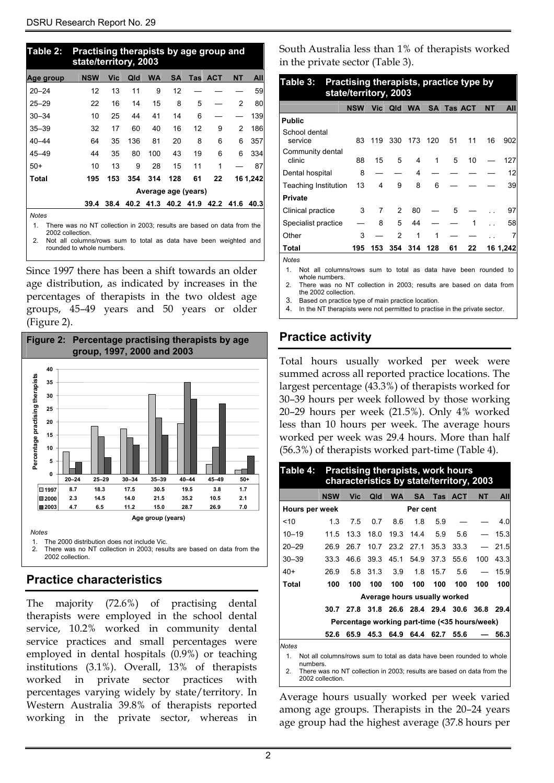| Table 2:                                                                        | Practising therapists by age group and<br>state/territory, 2003 |      |      |           |           |           |            |                |          |
|---------------------------------------------------------------------------------|-----------------------------------------------------------------|------|------|-----------|-----------|-----------|------------|----------------|----------|
| Age group                                                                       | <b>NSW</b>                                                      | Vic  | Qld  | <b>WA</b> | <b>SA</b> | Tas       | <b>ACT</b> | <b>NT</b>      | All      |
| $20 - 24$                                                                       | 12                                                              | 13   | 11   | 9         | 12        |           |            |                | 59       |
| $25 - 29$                                                                       | 22                                                              | 16   | 14   | 15        | 8         | 5         |            | $\overline{2}$ | 80       |
| $30 - 34$                                                                       | 10                                                              | 25   | 44   | 41        | 14        | 6         |            |                | 139      |
| $35 - 39$                                                                       | 32                                                              | 17   | 60   | 40        | 16        | 12        | 9          | 2              | 186      |
| $40 - 44$                                                                       | 64                                                              | 35   | 136  | 81        | 20        | 8         | 6          | 6              | 357      |
| $45 - 49$                                                                       | 44                                                              | 35   | 80   | 100       | 43        | 19        | 6          | 6              | 334      |
| $50+$                                                                           | 10                                                              | 13   | 9    | 28        | 15        | 11        | 1          |                | 87       |
| Total                                                                           | 195                                                             | 153  | 354  | 314       | 128       | 61        | 22         |                | 16 1,242 |
|                                                                                 | Average age (years)                                             |      |      |           |           |           |            |                |          |
|                                                                                 | 39.4                                                            | 38.4 | 40.2 | 41.3      |           | 40.2 41.9 | 42.2 41.6  |                | 40.3     |
| <b>Notes</b><br>$\sim$ 0.000<br>$\sim$ $\sim$ $\sim$ $\sim$ $\sim$<br>.<br>$-1$ |                                                                 |      |      |           |           |           |            |                |          |

1. There was no NT collection in 2003; results are based on data from the 2002 collection. 2. Not all columns/rows sum to total as data have been weighted and

rounded to whole numbers.

Since 1997 there has been a shift towards an older age distribution, as indicated by increases in the percentages of therapists in the two oldest age groups, 45–49 years and 50 years or older (Figure 2).



The 2000 distribution does not include Vic.

2. There was no NT collection in 2003; results are based on data from the 2002 collection.

# **Practice characteristics**

The majority (72.6%) of practising dental therapists were employed in the school dental service, 10.2% worked in community dental service practices and small percentages were employed in dental hospitals (0.9%) or teaching institutions (3.1%). Overall, 13% of therapists worked in private sector practices with percentages varying widely by state/territory. In Western Australia 39.8% of therapists reported working in the private sector, whereas in

South Australia less than 1% of therapists worked in the private sector (Table 3).

| Table 3:<br>Practising therapists, practice type by<br>state/territory, 2003                          |            |     |               |           |           |    |                |           |          |
|-------------------------------------------------------------------------------------------------------|------------|-----|---------------|-----------|-----------|----|----------------|-----------|----------|
|                                                                                                       | <b>NSW</b> | Vic | Qld           | <b>WA</b> | <b>SA</b> |    | <b>Tas ACT</b> | <b>NT</b> | All      |
| <b>Public</b>                                                                                         |            |     |               |           |           |    |                |           |          |
| School dental<br>service                                                                              | 83         | 119 | 330           | 173       | 120       | 51 | 11             | 16        | 902      |
| Community dental<br>clinic                                                                            | 88         | 15  | 5             | 4         | 1         | 5  | 10             |           | 127      |
| Dental hospital                                                                                       | 8          |     |               | 4         |           |    |                |           | 12       |
| <b>Teaching Institution</b>                                                                           | 13         | 4   | 9             | 8         | 6         |    |                |           | 39       |
| <b>Private</b>                                                                                        |            |     |               |           |           |    |                |           |          |
| Clinical practice                                                                                     | 3          | 7   | $\mathcal{P}$ | 80        |           | 5  |                |           | 97       |
| Specialist practice                                                                                   |            | 8   | 5             | 44        |           |    | 1              |           | 58       |
| Other                                                                                                 | 3          |     | 2             | 1         | 1         |    |                |           |          |
| Total                                                                                                 | 195        | 153 | 354           | 314       | 128       | 61 | 22             |           | 16 1,242 |
| <b>Notes</b><br>1<br>Not all columns/rows sum to total as data have been rounded to<br>whole numbers. |            |     |               |           |           |    |                |           |          |

2. There was no NT collection in 2003; results are based on data from the 2002 collection.

3. Based on practice type of main practice location.

4. In the NT therapists were not permitted to practise in the private sector.

## **Practice activity**

Total hours usually worked per week were summed across all reported practice locations. The largest percentage (43.3%) of therapists worked for 30–39 hours per week followed by those working 20–29 hours per week (21.5%). Only 4% worked less than 10 hours per week. The average hours worked per week was 29.4 hours. More than half (56.3%) of therapists worked part-time (Table 4).

| Table 4:                                                                                              | <b>Practising therapists, work hours</b><br>characteristics by state/territory, 2003 |      |      |                              |           |      |                                              |           |      |
|-------------------------------------------------------------------------------------------------------|--------------------------------------------------------------------------------------|------|------|------------------------------|-----------|------|----------------------------------------------|-----------|------|
|                                                                                                       | <b>NSW</b>                                                                           | Vic  | Qld  | <b>WA</b>                    | <b>SA</b> | Tas  | <b>ACT</b>                                   | <b>NT</b> | All  |
|                                                                                                       | Hours per week<br>Per cent                                                           |      |      |                              |           |      |                                              |           |      |
| ~10                                                                                                   | 1.3                                                                                  | 7.5  | 0.7  | 8.6                          | 18        | 5.9  |                                              |           | 4 O  |
| $10 - 19$                                                                                             | 11.5                                                                                 | 13.3 | 18.0 | 19.3                         | 14.4      | 5.9  | 5.6                                          |           | 15.3 |
| $20 - 29$                                                                                             | 26.9                                                                                 | 26.7 | 10.7 | 23.2                         | 27.1      | 35.3 | 33.3                                         |           | 21.5 |
| $30 - 39$                                                                                             | 33.3                                                                                 | 46.6 |      | 39.3 45.1                    | 54.9      | 37.3 | 55.6                                         | 100       | 43.3 |
| 40+                                                                                                   | 26.9                                                                                 | 5.8  | 31.3 | 3.9                          | 1.8       | 15.7 | 5.6                                          |           | 15.9 |
| Total                                                                                                 | 100                                                                                  | 100  | 100  | 100                          | 100       | 100  | 100                                          | 100       | 100  |
|                                                                                                       |                                                                                      |      |      | Average hours usually worked |           |      |                                              |           |      |
|                                                                                                       |                                                                                      |      |      |                              |           |      | 30.7 27.8 31.8 26.6 28.4 29.4 30.6 36.8 29.4 |           |      |
|                                                                                                       | Percentage working part-time (<35 hours/week)                                        |      |      |                              |           |      |                                              |           |      |
|                                                                                                       | 52.6                                                                                 | 65.9 | 45.3 | 64.9                         | 64.4      | 62.7 | 55.6                                         |           | 56.3 |
| <b>Notes</b><br>Not all columns/rows sum to total as data have been rounded to whole<br>1<br>numbers. |                                                                                      |      |      |                              |           |      |                                              |           |      |

2. There was no NT collection in 2003; results are based on data from the 2002 collection.

Average hours usually worked per week varied among age groups. Therapists in the 20–24 years age group had the highest average (37.8 hours per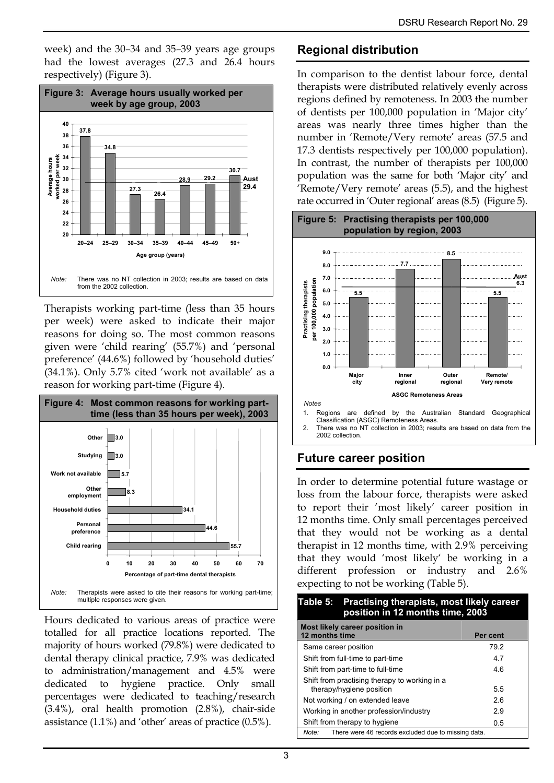week) and the 30–34 and 35–39 years age groups had the lowest averages (27.3 and 26.4 hours respectively) (Figure 3).



Therapists working part-time (less than 35 hours per week) were asked to indicate their major reasons for doing so. The most common reasons given were 'child rearing' (55.7%) and 'personal preference' (44.6%) followed by 'household duties' (34.1%). Only 5.7% cited 'work not available' as a reason for working part-time (Figure 4).



Hours dedicated to various areas of practice were totalled for all practice locations reported. The majority of hours worked (79.8%) were dedicated to dental therapy clinical practice, 7.9% was dedicated to administration/management and 4.5% were dedicated to hygiene practice. Only small percentages were dedicated to teaching/research (3.4%), oral health promotion (2.8%), chair-side assistance (1.1%) and 'other' areas of practice (0.5%).

## **Regional distribution**

In comparison to the dentist labour force, dental therapists were distributed relatively evenly across regions defined by remoteness. In 2003 the number of dentists per 100,000 population in 'Major city' areas was nearly three times higher than the number in 'Remote/Very remote' areas (57.5 and 17.3 dentists respectively per 100,000 population). In contrast, the number of therapists per 100,000 population was the same for both 'Major city' and 'Remote/Very remote' areas (5.5), and the highest rate occurred in 'Outer regional' areas (8.5) (Figure 5).



1. Regions are defined by the Australian Standard Geographical Classification (ASGC) Remoteness Areas.

There was no NT collection in 2003; results are based on data from the 2002 collection.

## **Future career position**

In order to determine potential future wastage or loss from the labour force, therapists were asked to report their 'most likely' career position in 12 months time. Only small percentages perceived that they would not be working as a dental therapist in 12 months time, with 2.9% perceiving that they would 'most likely' be working in a different profession or industry and 2.6% expecting to not be working (Table 5).

| Table 5: Practising therapists, most likely career<br>position in 12 months time, 2003 |          |  |  |  |  |  |  |
|----------------------------------------------------------------------------------------|----------|--|--|--|--|--|--|
| Most likely career position in<br>12 months time                                       | Per cent |  |  |  |  |  |  |
| Same career position                                                                   | 79.2     |  |  |  |  |  |  |
| Shift from full-time to part-time                                                      | 47       |  |  |  |  |  |  |
| Shift from part-time to full-time                                                      | 46       |  |  |  |  |  |  |
|                                                                                        |          |  |  |  |  |  |  |
| Shift from practising therapy to working in a<br>therapy/hygiene position              | 5.5      |  |  |  |  |  |  |
| Not working / on extended leave                                                        | 2.6      |  |  |  |  |  |  |
| Working in another profession/industry<br>2.9                                          |          |  |  |  |  |  |  |
| Shift from therapy to hygiene                                                          | 0.5      |  |  |  |  |  |  |
| There were 46 records excluded due to missing data.<br>Note:                           |          |  |  |  |  |  |  |